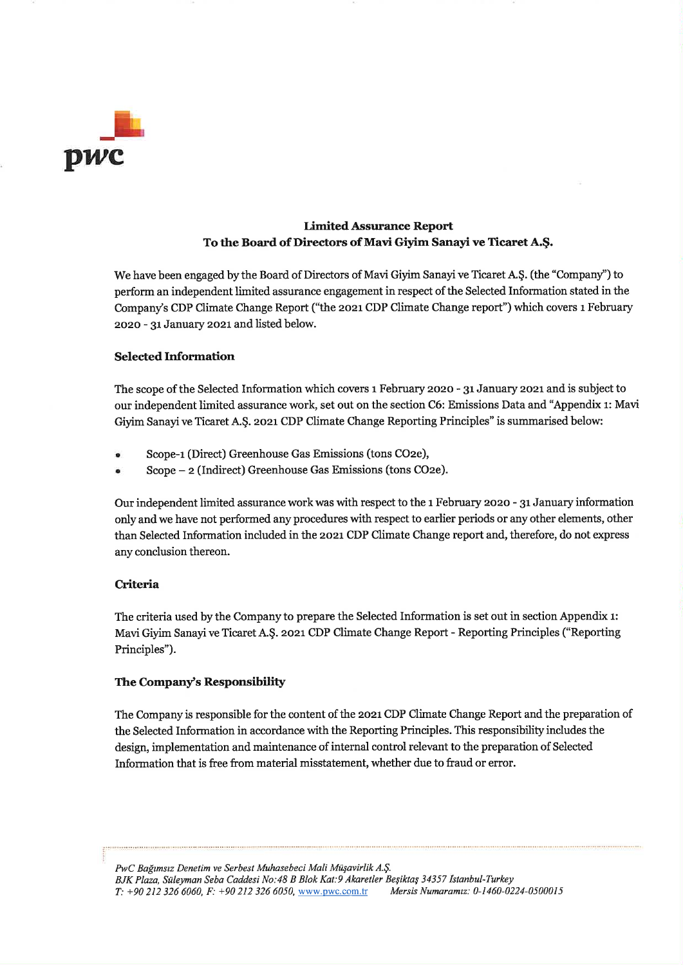

# **Limited Assurance Report** To the Board of Directors of Mavi Giyim Sanayi ve Ticaret A.Ş.

We have been engaged by the Board of Directors of Mavi Giyim Sanayi ve Ticaret A.Ş. (the "Company") to perform an independent limited assurance engagement in respect of the Selected Information stated in the Company's CDP Climate Change Report ("the 2021 CDP Climate Change report") which covers 1 February 2020 - 31 January 2021 and listed below.

## **Selected Information**

The scope of the Selected Information which covers 1 February 2020 - 31 January 2021 and is subject to our independent limited assurance work, set out on the section C6: Emissions Data and "Appendix 1: Mavi Givim Sanayi ve Ticaret A.S. 2021 CDP Climate Change Reporting Principles" is summarised below:

- Scope-1 (Direct) Greenhouse Gas Emissions (tons CO2e),
- Scope 2 (Indirect) Greenhouse Gas Emissions (tons CO2e).

Our independent limited assurance work was with respect to the 1 February 2020 - 31 January information only and we have not performed any procedures with respect to earlier periods or any other elements, other than Selected Information included in the 2021 CDP Climate Change report and, therefore, do not express any conclusion thereon.

## Criteria

The criteria used by the Company to prepare the Selected Information is set out in section Appendix 1: Mavi Giyim Sanayi ve Ticaret A.Ş. 2021 CDP Climate Change Report - Reporting Principles ("Reporting Principles").

## The Company's Responsibility

The Company is responsible for the content of the 2021 CDP Climate Change Report and the preparation of the Selected Information in accordance with the Reporting Principles. This responsibility includes the design, implementation and maintenance of internal control relevant to the preparation of Selected Information that is free from material misstatement, whether due to fraud or error.

PwC Bağımsız Denetim ve Serbest Muhasebeci Mali Müşavirlik A.Ş. BJK Plaza, Süleyman Seba Caddesi No:48 B Blok Kat:9 Akaretler Beşiktaş 34357 İstanbul-Turkev  $T: +902123266060$ ,  $F: +902123266050$ , www.pwc.com.tr Mersis Numaramız: 0-1460-0224-0500015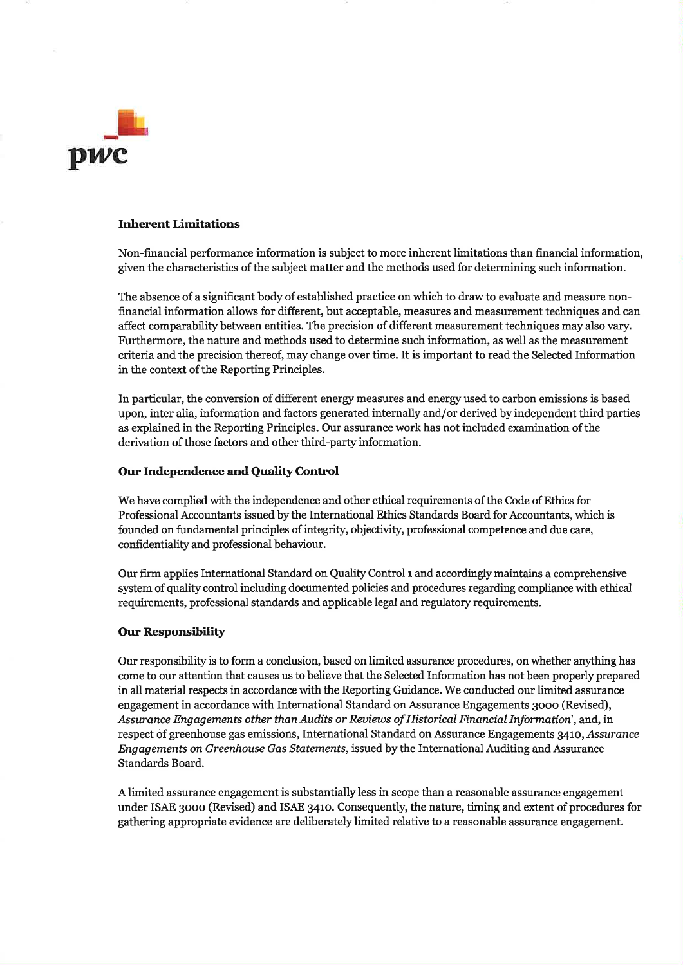

### **Inherent Limitations**

Non-financial performance information is subject to more inherent limitations than financial information, given the characteristics of the subject matter and the methods used for determining such information.

The absence of a significant body of established practice on which to draw to evaluate and measure nonfinancial information allows for different, but acceptable, measures and measurement techniques and can affect comparability between entities. The precision of different measurement techniques may also vary. Furthermore, the nature and methods used to determine such information, as well as the measurement criteria and the precision thereof, may change over time. It is important to read the Selected Information in the context of the Reporting Principles.

In particular, the conversion of different energy measures and energy used to carbon emissions is based upon, inter alia, information and factors generated internally and/or derived by independent third parties as explained in the Reporting Principles. Our assurance work has not included examination of the derivation of those factors and other third-party information.

### Our Independence and Quality Control

We have complied with the independence and other ethical requirements of the Code of Ethics for Professional Accountants issued by the International Ethics Standards Board for Accountants, which is founded on fundamental principles of integrity, objectivity, professional competence and due care, confidentiality and professional behaviour.

Our firm applies International Standard on Quality Control 1 and accordingly maintains a comprehensive system of quality control including documented policies and procedures regarding compliance with ethical requirements, professional standards and applicable legal and regulatory requirements.

#### **Our Responsibility**

Our responsibility is to form a conclusion, based on limited assurance procedures, on whether anything has come to our attention that causes us to believe that the Selected Information has not been properly prepared in all material respects in accordance with the Reporting Guidance. We conducted our limited assurance engagement in accordance with International Standard on Assurance Engagements 3000 (Revised), Assurance Engagements other than Audits or Reviews of Historical Financial Information', and, in respect of greenhouse gas emissions, International Standard on Assurance Engagements 3410, Assurance Engagements on Greenhouse Gas Statements, issued by the International Auditing and Assurance Standards Board.

A limited assurance engagement is substantially less in scope than a reasonable assurance engagement under ISAE 3000 (Revised) and ISAE 3410. Consequently, the nature, timing and extent of procedures for gathering appropriate evidence are deliberately limited relative to a reasonable assurance engagement.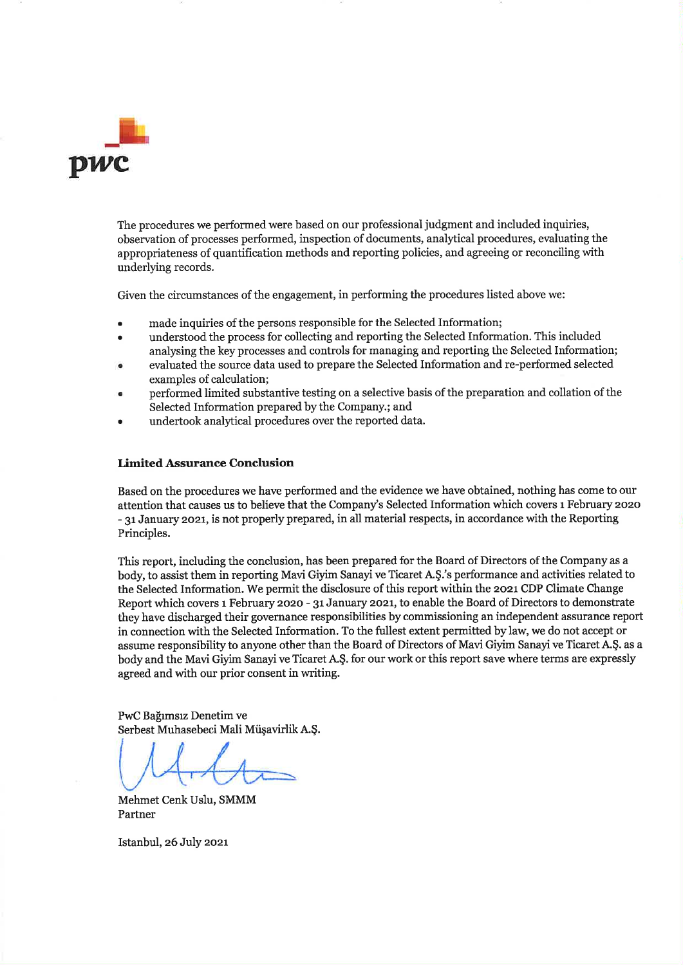

The procedures we performed were based on our professional judgment and included inquiries, observation of processes performed, inspection of documents, analytical procedures, evaluating the appropriateness of quantification methods and reporting policies, and agreeing or reconciling with underlying records.

Given the circumstances of the engagement, in performing the procedures listed above we:

- made inquiries of the persons responsible for the Selected Information:
- understood the process for collecting and reporting the Selected Information. This included analysing the key processes and controls for managing and reporting the Selected Information;
- evaluated the source data used to prepare the Selected Information and re-performed selected examples of calculation;
- performed limited substantive testing on a selective basis of the preparation and collation of the Selected Information prepared by the Company.; and
- undertook analytical procedures over the reported data.

### **Limited Assurance Conclusion**

Based on the procedures we have performed and the evidence we have obtained, nothing has come to our attention that causes us to believe that the Company's Selected Information which covers 1 February 2020 - 31 January 2021, is not properly prepared, in all material respects, in accordance with the Reporting Principles.

This report, including the conclusion, has been prepared for the Board of Directors of the Company as a body, to assist them in reporting Mavi Giyim Sanayi ve Ticaret A.Ş.'s performance and activities related to the Selected Information. We permit the disclosure of this report within the 2021 CDP Climate Change Report which covers 1 February 2020 - 31 January 2021, to enable the Board of Directors to demonstrate they have discharged their governance responsibilities by commissioning an independent assurance report in connection with the Selected Information. To the fullest extent permitted by law, we do not accept or assume responsibility to anyone other than the Board of Directors of Mavi Giyim Sanayi ve Ticaret A.Ş. as a body and the Mavi Givim Sanayi ve Ticaret A.S. for our work or this report save where terms are expressly agreed and with our prior consent in writing.

PwC Bağımsız Denetim ve Serbest Muhasebeci Mali Müşavirlik A.Ş.

Mehmet Cenk Uslu, SMMM Partner

Istanbul, 26 July 2021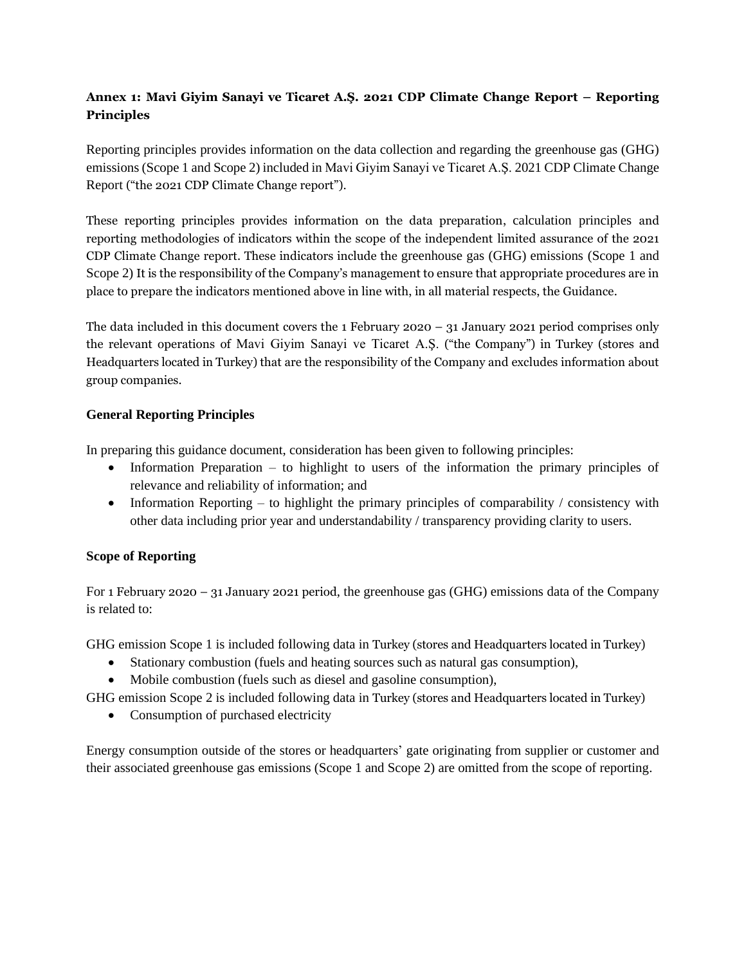# **Annex 1: Mavi Giyim Sanayi ve Ticaret A.Ş. 2021 CDP Climate Change Report – Reporting Principles**

Reporting principles provides information on the data collection and regarding the greenhouse gas (GHG) emissions (Scope 1 and Scope 2) included in Mavi Giyim Sanayi ve Ticaret A.Ş. 2021 CDP Climate Change Report ("the 2021 CDP Climate Change report").

These reporting principles provides information on the data preparation, calculation principles and reporting methodologies of indicators within the scope of the independent limited assurance of the 2021 CDP Climate Change report. These indicators include the greenhouse gas (GHG) emissions (Scope 1 and Scope 2) It is the responsibility of the Company's management to ensure that appropriate procedures are in place to prepare the indicators mentioned above in line with, in all material respects, the Guidance.

The data included in this document covers the 1 February 2020 – 31 January 2021 period comprises only the relevant operations of Mavi Giyim Sanayi ve Ticaret A.Ş. ("the Company") in Turkey (stores and Headquarters located in Turkey) that are the responsibility of the Company and excludes information about group companies.

## **General Reporting Principles**

In preparing this guidance document, consideration has been given to following principles:

- Information Preparation to highlight to users of the information the primary principles of relevance and reliability of information; and
- Information Reporting to highlight the primary principles of comparability  $\ell$  consistency with other data including prior year and understandability / transparency providing clarity to users.

# **Scope of Reporting**

For 1 February 2020 – 31 January 2021 period, the greenhouse gas (GHG) emissions data of the Company is related to:

GHG emission Scope 1 is included following data in Turkey (stores and Headquarters located in Turkey)

- Stationary combustion (fuels and heating sources such as natural gas consumption),
- Mobile combustion (fuels such as diesel and gasoline consumption),

GHG emission Scope 2 is included following data in Turkey (stores and Headquarters located in Turkey)

• Consumption of purchased electricity

Energy consumption outside of the stores or headquarters' gate originating from supplier or customer and their associated greenhouse gas emissions (Scope 1 and Scope 2) are omitted from the scope of reporting.